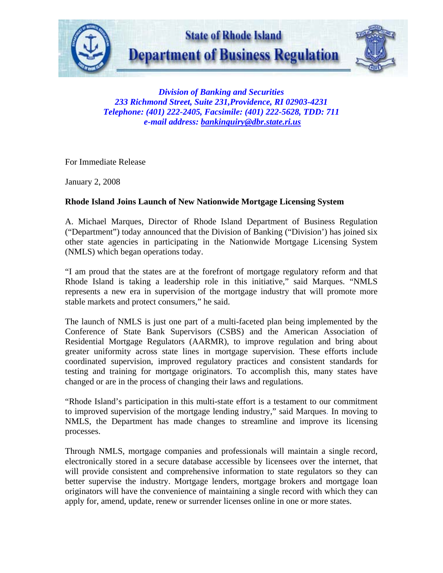

*Division of Banking and Securities 233 Richmond Street, Suite 231,Providence, RI 02903-4231 Telephone: (401) 222-2405, Facsimile: (401) 222-5628, TDD: 711 e-mail address: bankinquiry@dbr.state.ri.us*

For Immediate Release

January 2, 2008

## **Rhode Island Joins Launch of New Nationwide Mortgage Licensing System**

A. Michael Marques, Director of Rhode Island Department of Business Regulation ("Department") today announced that the Division of Banking ("Division') has joined six other state agencies in participating in the Nationwide Mortgage Licensing System (NMLS) which began operations today.

"I am proud that the states are at the forefront of mortgage regulatory reform and that Rhode Island is taking a leadership role in this initiative," said Marques. "NMLS represents a new era in supervision of the mortgage industry that will promote more stable markets and protect consumers," he said.

The launch of NMLS is just one part of a multi-faceted plan being implemented by the Conference of State Bank Supervisors (CSBS) and the American Association of Residential Mortgage Regulators (AARMR), to improve regulation and bring about greater uniformity across state lines in mortgage supervision. These efforts include coordinated supervision, improved regulatory practices and consistent standards for testing and training for mortgage originators. To accomplish this, many states have changed or are in the process of changing their laws and regulations.

"Rhode Island's participation in this multi-state effort is a testament to our commitment to improved supervision of the mortgage lending industry," said Marques. In moving to NMLS, the Department has made changes to streamline and improve its licensing processes.

Through NMLS, mortgage companies and professionals will maintain a single record, electronically stored in a secure database accessible by licensees over the internet, that will provide consistent and comprehensive information to state regulators so they can better supervise the industry. Mortgage lenders, mortgage brokers and mortgage loan originators will have the convenience of maintaining a single record with which they can apply for, amend, update, renew or surrender licenses online in one or more states.